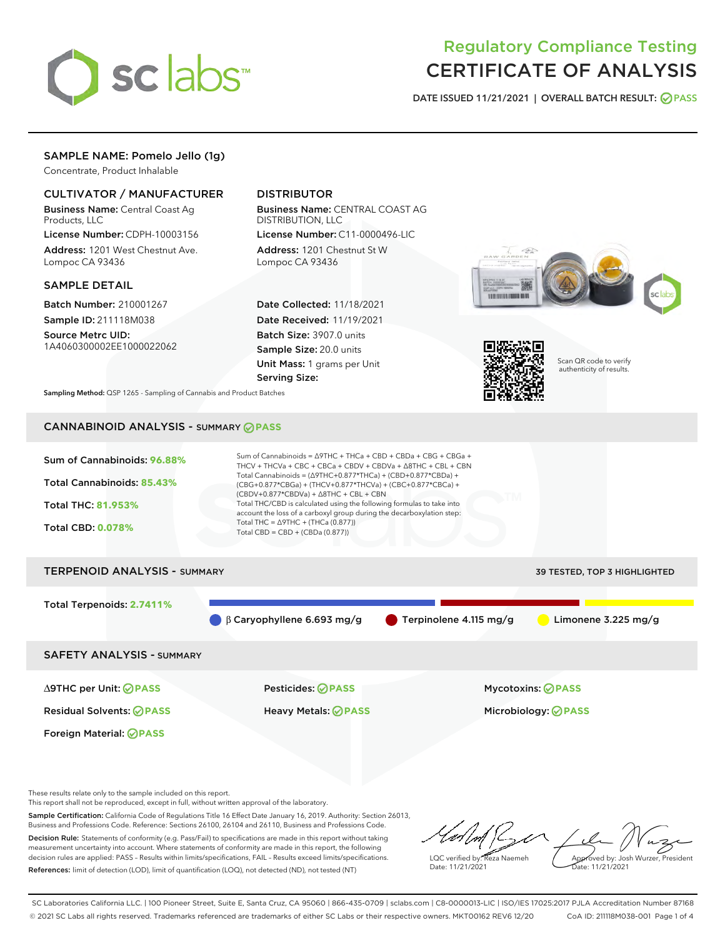

# Regulatory Compliance Testing CERTIFICATE OF ANALYSIS

DATE ISSUED 11/21/2021 | OVERALL BATCH RESULT: @ PASS

# SAMPLE NAME: Pomelo Jello (1g)

Concentrate, Product Inhalable

# CULTIVATOR / MANUFACTURER

Business Name: Central Coast Ag Products, LLC

License Number: CDPH-10003156 Address: 1201 West Chestnut Ave. Lompoc CA 93436

#### SAMPLE DETAIL

Batch Number: 210001267 Sample ID: 211118M038

Source Metrc UID: 1A4060300002EE1000022062

# DISTRIBUTOR

Business Name: CENTRAL COAST AG DISTRIBUTION, LLC License Number: C11-0000496-LIC

Address: 1201 Chestnut St W Lompoc CA 93436

Date Collected: 11/18/2021 Date Received: 11/19/2021 Batch Size: 3907.0 units Sample Size: 20.0 units Unit Mass: 1 grams per Unit Serving Size:





Scan QR code to verify authenticity of results.

Sampling Method: QSP 1265 - Sampling of Cannabis and Product Batches

# CANNABINOID ANALYSIS - SUMMARY **PASS**



This report shall not be reproduced, except in full, without written approval of the laboratory.

Sample Certification: California Code of Regulations Title 16 Effect Date January 16, 2019. Authority: Section 26013, Business and Professions Code. Reference: Sections 26100, 26104 and 26110, Business and Professions Code. Decision Rule: Statements of conformity (e.g. Pass/Fail) to specifications are made in this report without taking measurement uncertainty into account. Where statements of conformity are made in this report, the following

decision rules are applied: PASS – Results within limits/specifications, FAIL – Results exceed limits/specifications. References: limit of detection (LOD), limit of quantification (LOQ), not detected (ND), not tested (NT)

LQC verified by: Reza Naemeh Date: 11/21/2021 Approved by: Josh Wurzer, President Date: 11/21/2021

SC Laboratories California LLC. | 100 Pioneer Street, Suite E, Santa Cruz, CA 95060 | 866-435-0709 | sclabs.com | C8-0000013-LIC | ISO/IES 17025:2017 PJLA Accreditation Number 87168 © 2021 SC Labs all rights reserved. Trademarks referenced are trademarks of either SC Labs or their respective owners. MKT00162 REV6 12/20 CoA ID: 211118M038-001 Page 1 of 4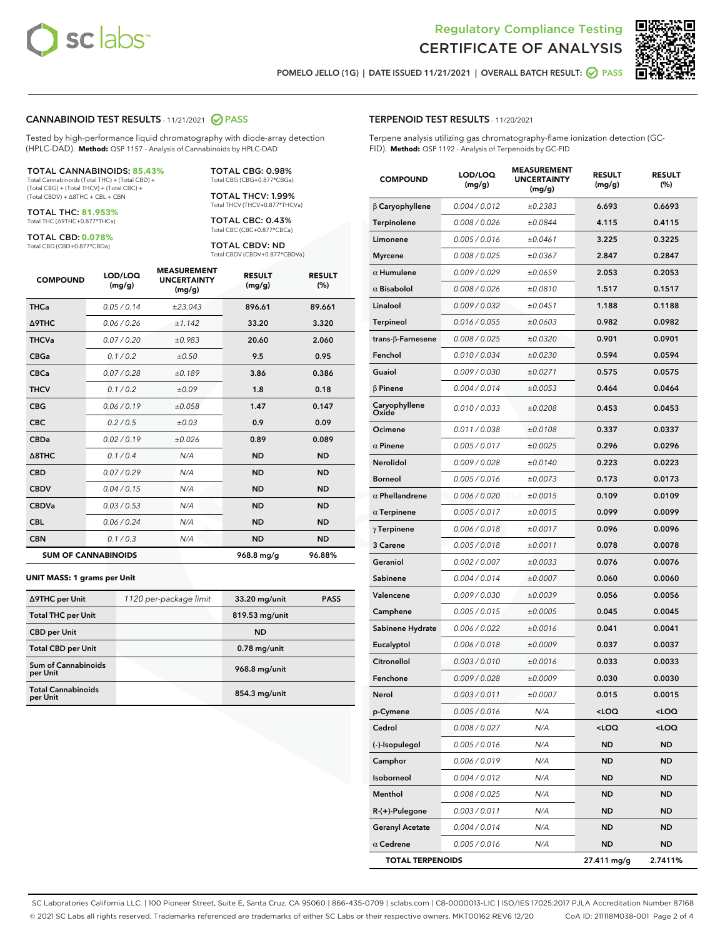



POMELO JELLO (1G) | DATE ISSUED 11/21/2021 | OVERALL BATCH RESULT: **○** PASS

#### CANNABINOID TEST RESULTS - 11/21/2021 2 PASS

Tested by high-performance liquid chromatography with diode-array detection (HPLC-DAD). **Method:** QSP 1157 - Analysis of Cannabinoids by HPLC-DAD

#### TOTAL CANNABINOIDS: **85.43%**

Total Cannabinoids (Total THC) + (Total CBD) + (Total CBG) + (Total THCV) + (Total CBC) + (Total CBDV) + ∆8THC + CBL + CBN

TOTAL THC: **81.953%** Total THC (∆9THC+0.877\*THCa)

TOTAL CBD: **0.078%**

Total CBD (CBD+0.877\*CBDa)

TOTAL CBG: 0.98% Total CBG (CBG+0.877\*CBGa)

TOTAL THCV: 1.99% Total THCV (THCV+0.877\*THCVa)

TOTAL CBC: 0.43% Total CBC (CBC+0.877\*CBCa)

TOTAL CBDV: ND Total CBDV (CBDV+0.877\*CBDVa)

| <b>COMPOUND</b>  | LOD/LOQ<br>(mg/g)          | <b>MEASUREMENT</b><br><b>UNCERTAINTY</b><br>(mg/g) | <b>RESULT</b><br>(mg/g) | <b>RESULT</b><br>(%) |
|------------------|----------------------------|----------------------------------------------------|-------------------------|----------------------|
| <b>THCa</b>      | 0.05 / 0.14                | ±23.043                                            | 896.61                  | 89.661               |
| <b>A9THC</b>     | 0.06 / 0.26                | ±1.142                                             | 33.20                   | 3.320                |
| <b>THCVa</b>     | 0.07 / 0.20                | ±0.983                                             | 20.60                   | 2.060                |
| <b>CBGa</b>      | 0.1/0.2                    | ±0.50                                              | 9.5                     | 0.95                 |
| <b>CBCa</b>      | 0.07/0.28                  | ±0.189                                             | 3.86                    | 0.386                |
| <b>THCV</b>      | 0.1 / 0.2                  | ±0.09                                              | 1.8                     | 0.18                 |
| <b>CBG</b>       | 0.06/0.19                  | ±0.058                                             | 1.47                    | 0.147                |
| <b>CBC</b>       | 0.2 / 0.5                  | ±0.03                                              | 0.9                     | 0.09                 |
| <b>CBDa</b>      | 0.02/0.19                  | ±0.026                                             | 0.89                    | 0.089                |
| $\triangle$ 8THC | 0.1 / 0.4                  | N/A                                                | <b>ND</b>               | <b>ND</b>            |
| <b>CBD</b>       | 0.07/0.29                  | N/A                                                | <b>ND</b>               | <b>ND</b>            |
| <b>CBDV</b>      | 0.04 / 0.15                | N/A                                                | <b>ND</b>               | <b>ND</b>            |
| <b>CBDVa</b>     | 0.03/0.53                  | N/A                                                | <b>ND</b>               | <b>ND</b>            |
| <b>CBL</b>       | 0.06 / 0.24                | N/A                                                | <b>ND</b>               | <b>ND</b>            |
| <b>CBN</b>       | 0.1/0.3                    | N/A                                                | <b>ND</b>               | <b>ND</b>            |
|                  | <b>SUM OF CANNABINOIDS</b> |                                                    | 968.8 mg/g              | 96.88%               |

#### **UNIT MASS: 1 grams per Unit**

| ∆9THC per Unit                        | 1120 per-package limit | 33.20 mg/unit   | <b>PASS</b> |
|---------------------------------------|------------------------|-----------------|-------------|
| <b>Total THC per Unit</b>             |                        | 819.53 mg/unit  |             |
| <b>CBD</b> per Unit                   |                        | <b>ND</b>       |             |
| <b>Total CBD per Unit</b>             |                        | $0.78$ mg/unit  |             |
| Sum of Cannabinoids<br>per Unit       |                        | 968.8 mg/unit   |             |
| <b>Total Cannabinoids</b><br>per Unit |                        | $854.3$ mg/unit |             |

#### TERPENOID TEST RESULTS - 11/20/2021

Terpene analysis utilizing gas chromatography-flame ionization detection (GC-FID). **Method:** QSP 1192 - Analysis of Terpenoids by GC-FID

| <b>COMPOUND</b>         | LOD/LOQ<br>(mg/g) | <b>MEASUREMENT</b><br><b>UNCERTAINTY</b><br>(mg/g) | <b>RESULT</b><br>(mg/g)                         | <b>RESULT</b><br>(%) |
|-------------------------|-------------------|----------------------------------------------------|-------------------------------------------------|----------------------|
| $\beta$ Caryophyllene   | 0.004 / 0.012     | ±0.2383                                            | 6.693                                           | 0.6693               |
| Terpinolene             | 0.008 / 0.026     | ±0.0844                                            | 4.115                                           | 0.4115               |
| Limonene                | 0.005 / 0.016     | ±0.0461                                            | 3.225                                           | 0.3225               |
| <b>Myrcene</b>          | 0.008 / 0.025     | ±0.0367                                            | 2.847                                           | 0.2847               |
| $\alpha$ Humulene       | 0.009/0.029       | ±0.0659                                            | 2.053                                           | 0.2053               |
| $\alpha$ Bisabolol      | 0.008 / 0.026     | ±0.0810                                            | 1.517                                           | 0.1517               |
| Linalool                | 0.009 / 0.032     | ±0.0451                                            | 1.188                                           | 0.1188               |
| <b>Terpineol</b>        | 0.016 / 0.055     | ±0.0603                                            | 0.982                                           | 0.0982               |
| trans-β-Farnesene       | 0.008 / 0.025     | ±0.0320                                            | 0.901                                           | 0.0901               |
| Fenchol                 | 0.010 / 0.034     | ±0.0230                                            | 0.594                                           | 0.0594               |
| Guaiol                  | 0.009 / 0.030     | ±0.0271                                            | 0.575                                           | 0.0575               |
| $\beta$ Pinene          | 0.004 / 0.014     | ±0.0053                                            | 0.464                                           | 0.0464               |
| Caryophyllene<br>Oxide  | 0.010 / 0.033     | ±0.0208                                            | 0.453                                           | 0.0453               |
| Ocimene                 | 0.011 / 0.038     | ±0.0108                                            | 0.337                                           | 0.0337               |
| $\alpha$ Pinene         | 0.005 / 0.017     | ±0.0025                                            | 0.296                                           | 0.0296               |
| Nerolidol               | 0.009 / 0.028     | ±0.0140                                            | 0.223                                           | 0.0223               |
| <b>Borneol</b>          | 0.005 / 0.016     | ±0.0073                                            | 0.173                                           | 0.0173               |
| $\alpha$ Phellandrene   | 0.006 / 0.020     | ±0.0015                                            | 0.109                                           | 0.0109               |
| $\alpha$ Terpinene      | 0.005 / 0.017     | ±0.0015                                            | 0.099                                           | 0.0099               |
| $\gamma$ Terpinene      | 0.006 / 0.018     | ±0.0017                                            | 0.096                                           | 0.0096               |
| 3 Carene                | 0.005 / 0.018     | ±0.0011                                            | 0.078                                           | 0.0078               |
| Geraniol                | 0.002 / 0.007     | ±0.0033                                            | 0.076                                           | 0.0076               |
| Sabinene                | 0.004 / 0.014     | ±0.0007                                            | 0.060                                           | 0.0060               |
| Valencene               | 0.009 / 0.030     | ±0.0039                                            | 0.056                                           | 0.0056               |
| Camphene                | 0.005 / 0.015     | ±0.0005                                            | 0.045                                           | 0.0045               |
| Sabinene Hydrate        | 0.006 / 0.022     | ±0.0016                                            | 0.041                                           | 0.0041               |
| Eucalyptol              | 0.006 / 0.018     | ±0.0009                                            | 0.037                                           | 0.0037               |
| Citronellol             | 0.003 / 0.010     | ±0.0016                                            | 0.033                                           | 0.0033               |
| Fenchone                | 0.009 / 0.028     | ±0.0009                                            | 0.030                                           | 0.0030               |
| Nerol                   | 0.003 / 0.011     | ±0.0007                                            | 0.015                                           | 0.0015               |
| p-Cymene                | 0.005 / 0.016     | N/A                                                | <loq< th=""><th><loq< th=""></loq<></th></loq<> | <loq< th=""></loq<>  |
| Cedrol                  | 0.008 / 0.027     | N/A                                                | <loq< th=""><th><loq< th=""></loq<></th></loq<> | <loq< th=""></loq<>  |
| (-)-Isopulegol          | 0.005 / 0.016     | N/A                                                | <b>ND</b>                                       | <b>ND</b>            |
| Camphor                 | 0.006 / 0.019     | N/A                                                | ND                                              | ND                   |
| Isoborneol              | 0.004 / 0.012     | N/A                                                | ND                                              | ND                   |
| Menthol                 | 0.008 / 0.025     | N/A                                                | <b>ND</b>                                       | <b>ND</b>            |
| $R-(+)$ -Pulegone       | 0.003 / 0.011     | N/A                                                | ND                                              | ND                   |
| <b>Geranyl Acetate</b>  | 0.004 / 0.014     | N/A                                                | <b>ND</b>                                       | ND                   |
| $\alpha$ Cedrene        | 0.005 / 0.016     | N/A                                                | <b>ND</b>                                       | ND                   |
| <b>TOTAL TERPENOIDS</b> |                   |                                                    | 27.411 mg/g                                     | 2.7411%              |

SC Laboratories California LLC. | 100 Pioneer Street, Suite E, Santa Cruz, CA 95060 | 866-435-0709 | sclabs.com | C8-0000013-LIC | ISO/IES 17025:2017 PJLA Accreditation Number 87168 © 2021 SC Labs all rights reserved. Trademarks referenced are trademarks of either SC Labs or their respective owners. MKT00162 REV6 12/20 CoA ID: 211118M038-001 Page 2 of 4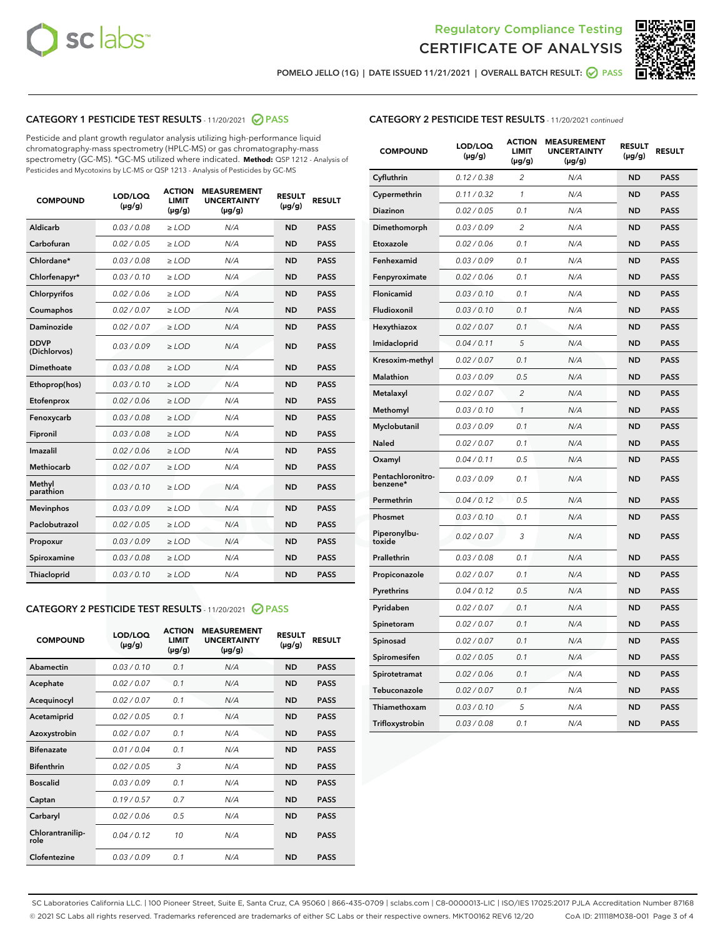



POMELO JELLO (1G) | DATE ISSUED 11/21/2021 | OVERALL BATCH RESULT:  $\bigcirc$  PASS

# CATEGORY 1 PESTICIDE TEST RESULTS - 11/20/2021 2 PASS

Pesticide and plant growth regulator analysis utilizing high-performance liquid chromatography-mass spectrometry (HPLC-MS) or gas chromatography-mass spectrometry (GC-MS). \*GC-MS utilized where indicated. **Method:** QSP 1212 - Analysis of Pesticides and Mycotoxins by LC-MS or QSP 1213 - Analysis of Pesticides by GC-MS

| <b>COMPOUND</b>             | LOD/LOQ<br>$(\mu g/g)$ | <b>ACTION</b><br><b>LIMIT</b><br>$(\mu g/g)$ | <b>MEASUREMENT</b><br><b>UNCERTAINTY</b><br>$(\mu g/g)$ | <b>RESULT</b><br>$(\mu g/g)$ | <b>RESULT</b> |
|-----------------------------|------------------------|----------------------------------------------|---------------------------------------------------------|------------------------------|---------------|
| Aldicarb                    | 0.03 / 0.08            | $\ge$ LOD                                    | N/A                                                     | <b>ND</b>                    | <b>PASS</b>   |
| Carbofuran                  | 0.02 / 0.05            | $\geq$ LOD                                   | N/A                                                     | <b>ND</b>                    | <b>PASS</b>   |
| Chlordane*                  | 0.03 / 0.08            | $\ge$ LOD                                    | N/A                                                     | <b>ND</b>                    | <b>PASS</b>   |
| Chlorfenapyr*               | 0.03/0.10              | $\geq$ LOD                                   | N/A                                                     | <b>ND</b>                    | <b>PASS</b>   |
| Chlorpyrifos                | 0.02 / 0.06            | $\ge$ LOD                                    | N/A                                                     | <b>ND</b>                    | <b>PASS</b>   |
| Coumaphos                   | 0.02 / 0.07            | $\ge$ LOD                                    | N/A                                                     | <b>ND</b>                    | <b>PASS</b>   |
| Daminozide                  | 0.02 / 0.07            | $\ge$ LOD                                    | N/A                                                     | <b>ND</b>                    | <b>PASS</b>   |
| <b>DDVP</b><br>(Dichlorvos) | 0.03/0.09              | $>$ LOD                                      | N/A                                                     | <b>ND</b>                    | <b>PASS</b>   |
| Dimethoate                  | 0.03 / 0.08            | $\ge$ LOD                                    | N/A                                                     | <b>ND</b>                    | <b>PASS</b>   |
| Ethoprop(hos)               | 0.03/0.10              | $>$ LOD                                      | N/A                                                     | <b>ND</b>                    | <b>PASS</b>   |
| Etofenprox                  | 0.02 / 0.06            | $\ge$ LOD                                    | N/A                                                     | <b>ND</b>                    | <b>PASS</b>   |
| Fenoxycarb                  | 0.03 / 0.08            | $\ge$ LOD                                    | N/A                                                     | <b>ND</b>                    | <b>PASS</b>   |
| Fipronil                    | 0.03 / 0.08            | $\ge$ LOD                                    | N/A                                                     | <b>ND</b>                    | <b>PASS</b>   |
| Imazalil                    | 0.02 / 0.06            | $>$ LOD                                      | N/A                                                     | <b>ND</b>                    | <b>PASS</b>   |
| <b>Methiocarb</b>           | 0.02 / 0.07            | $\ge$ LOD                                    | N/A                                                     | <b>ND</b>                    | <b>PASS</b>   |
| Methyl<br>parathion         | 0.03/0.10              | $\ge$ LOD                                    | N/A                                                     | <b>ND</b>                    | <b>PASS</b>   |
| <b>Mevinphos</b>            | 0.03/0.09              | $\ge$ LOD                                    | N/A                                                     | <b>ND</b>                    | <b>PASS</b>   |
| Paclobutrazol               | 0.02 / 0.05            | $>$ LOD                                      | N/A                                                     | <b>ND</b>                    | <b>PASS</b>   |
| Propoxur                    | 0.03/0.09              | $\ge$ LOD                                    | N/A                                                     | <b>ND</b>                    | <b>PASS</b>   |
| Spiroxamine                 | 0.03 / 0.08            | $\ge$ LOD                                    | N/A                                                     | <b>ND</b>                    | <b>PASS</b>   |
| Thiacloprid                 | 0.03/0.10              | $\ge$ LOD                                    | N/A                                                     | <b>ND</b>                    | <b>PASS</b>   |

#### CATEGORY 2 PESTICIDE TEST RESULTS - 11/20/2021 @ PASS

| <b>COMPOUND</b>          | LOD/LOO<br>$(\mu g/g)$ | <b>ACTION</b><br>LIMIT<br>$(\mu g/g)$ | <b>MEASUREMENT</b><br><b>UNCERTAINTY</b><br>$(\mu g/g)$ | <b>RESULT</b><br>$(\mu g/g)$ | <b>RESULT</b> |  |
|--------------------------|------------------------|---------------------------------------|---------------------------------------------------------|------------------------------|---------------|--|
| Abamectin                | 0.03/0.10              | 0.1                                   | N/A                                                     | <b>ND</b>                    | <b>PASS</b>   |  |
| Acephate                 | 0.02/0.07              | 0.1                                   | N/A                                                     | <b>ND</b>                    | <b>PASS</b>   |  |
| Acequinocyl              | 0.02/0.07              | 0.1                                   | N/A                                                     | <b>ND</b>                    | <b>PASS</b>   |  |
| Acetamiprid              | 0.02 / 0.05            | 0.1                                   | N/A                                                     | <b>ND</b>                    | <b>PASS</b>   |  |
| Azoxystrobin             | 0.02/0.07              | 0.1                                   | N/A                                                     | <b>ND</b>                    | <b>PASS</b>   |  |
| <b>Bifenazate</b>        | 0.01 / 0.04            | 0.1                                   | N/A                                                     | <b>ND</b>                    | <b>PASS</b>   |  |
| <b>Bifenthrin</b>        | 0.02 / 0.05            | 3                                     | N/A                                                     | <b>ND</b>                    | <b>PASS</b>   |  |
| <b>Boscalid</b>          | 0.03/0.09              | 0.1                                   | N/A                                                     | <b>ND</b>                    | <b>PASS</b>   |  |
| Captan                   | 0.19/0.57              | 0.7                                   | N/A                                                     | <b>ND</b>                    | <b>PASS</b>   |  |
| Carbaryl                 | 0.02/0.06              | 0.5                                   | N/A                                                     | <b>ND</b>                    | <b>PASS</b>   |  |
| Chlorantranilip-<br>role | 0.04/0.12              | 10                                    | N/A                                                     | <b>ND</b>                    | <b>PASS</b>   |  |
| Clofentezine             | 0.03/0.09              | 0.1                                   | N/A                                                     | <b>ND</b>                    | <b>PASS</b>   |  |

| <b>COMPOUND</b>               | LOD/LOQ<br>(µg/g) | <b>ACTION</b><br><b>LIMIT</b><br>(µg/g) | <b>MEASUREMENT</b><br><b>UNCERTAINTY</b><br>$(\mu g/g)$ | <b>RESULT</b><br>(µg/g) | <b>RESULT</b> |
|-------------------------------|-------------------|-----------------------------------------|---------------------------------------------------------|-------------------------|---------------|
| Cyfluthrin                    | 0.12 / 0.38       | $\overline{c}$                          | N/A                                                     | <b>ND</b>               | <b>PASS</b>   |
| Cypermethrin                  | 0.11 / 0.32       | $\mathcal{I}$                           | N/A                                                     | <b>ND</b>               | <b>PASS</b>   |
| <b>Diazinon</b>               | 0.02 / 0.05       | 0.1                                     | N/A                                                     | <b>ND</b>               | <b>PASS</b>   |
| Dimethomorph                  | 0.03 / 0.09       | 2                                       | N/A                                                     | <b>ND</b>               | <b>PASS</b>   |
| Etoxazole                     | 0.02 / 0.06       | 0.1                                     | N/A                                                     | <b>ND</b>               | <b>PASS</b>   |
| Fenhexamid                    | 0.03 / 0.09       | 0.1                                     | N/A                                                     | <b>ND</b>               | <b>PASS</b>   |
| Fenpyroximate                 | 0.02 / 0.06       | 0.1                                     | N/A                                                     | <b>ND</b>               | <b>PASS</b>   |
| Flonicamid                    | 0.03 / 0.10       | 0.1                                     | N/A                                                     | <b>ND</b>               | <b>PASS</b>   |
| Fludioxonil                   | 0.03 / 0.10       | 0.1                                     | N/A                                                     | <b>ND</b>               | <b>PASS</b>   |
| Hexythiazox                   | 0.02 / 0.07       | 0.1                                     | N/A                                                     | <b>ND</b>               | <b>PASS</b>   |
| Imidacloprid                  | 0.04 / 0.11       | 5                                       | N/A                                                     | <b>ND</b>               | <b>PASS</b>   |
| Kresoxim-methyl               | 0.02 / 0.07       | 0.1                                     | N/A                                                     | <b>ND</b>               | <b>PASS</b>   |
| <b>Malathion</b>              | 0.03 / 0.09       | 0.5                                     | N/A                                                     | <b>ND</b>               | <b>PASS</b>   |
| Metalaxyl                     | 0.02 / 0.07       | $\overline{c}$                          | N/A                                                     | <b>ND</b>               | <b>PASS</b>   |
| Methomyl                      | 0.03 / 0.10       | 1                                       | N/A                                                     | <b>ND</b>               | <b>PASS</b>   |
| Myclobutanil                  | 0.03 / 0.09       | 0.1                                     | N/A                                                     | <b>ND</b>               | <b>PASS</b>   |
| Naled                         | 0.02 / 0.07       | 0.1                                     | N/A                                                     | <b>ND</b>               | <b>PASS</b>   |
| Oxamyl                        | 0.04 / 0.11       | 0.5                                     | N/A                                                     | <b>ND</b>               | <b>PASS</b>   |
| Pentachloronitro-<br>benzene* | 0.03 / 0.09       | 0.1                                     | N/A                                                     | <b>ND</b>               | <b>PASS</b>   |
| Permethrin                    | 0.04 / 0.12       | 0.5                                     | N/A                                                     | <b>ND</b>               | <b>PASS</b>   |
| Phosmet                       | 0.03 / 0.10       | 0.1                                     | N/A                                                     | <b>ND</b>               | <b>PASS</b>   |
| Piperonylbu-<br>toxide        | 0.02 / 0.07       | 3                                       | N/A                                                     | <b>ND</b>               | <b>PASS</b>   |
| Prallethrin                   | 0.03 / 0.08       | 0.1                                     | N/A                                                     | <b>ND</b>               | <b>PASS</b>   |
| Propiconazole                 | 0.02 / 0.07       | 0.1                                     | N/A                                                     | <b>ND</b>               | <b>PASS</b>   |
| Pyrethrins                    | 0.04 / 0.12       | 0.5                                     | N/A                                                     | <b>ND</b>               | <b>PASS</b>   |
| Pyridaben                     | 0.02 / 0.07       | 0.1                                     | N/A                                                     | <b>ND</b>               | <b>PASS</b>   |
| Spinetoram                    | 0.02 / 0.07       | 0.1                                     | N/A                                                     | <b>ND</b>               | <b>PASS</b>   |
| Spinosad                      | 0.02 / 0.07       | 0.1                                     | N/A                                                     | <b>ND</b>               | <b>PASS</b>   |
| Spiromesifen                  | 0.02 / 0.05       | 0.1                                     | N/A                                                     | <b>ND</b>               | <b>PASS</b>   |
| Spirotetramat                 | 0.02 / 0.06       | 0.1                                     | N/A                                                     | <b>ND</b>               | <b>PASS</b>   |
| Tebuconazole                  | 0.02 / 0.07       | 0.1                                     | N/A                                                     | <b>ND</b>               | <b>PASS</b>   |
| Thiamethoxam                  | 0.03 / 0.10       | 5                                       | N/A                                                     | <b>ND</b>               | <b>PASS</b>   |
| Trifloxystrobin               | 0.03 / 0.08       | 0.1                                     | N/A                                                     | <b>ND</b>               | <b>PASS</b>   |

SC Laboratories California LLC. | 100 Pioneer Street, Suite E, Santa Cruz, CA 95060 | 866-435-0709 | sclabs.com | C8-0000013-LIC | ISO/IES 17025:2017 PJLA Accreditation Number 87168 © 2021 SC Labs all rights reserved. Trademarks referenced are trademarks of either SC Labs or their respective owners. MKT00162 REV6 12/20 CoA ID: 211118M038-001 Page 3 of 4